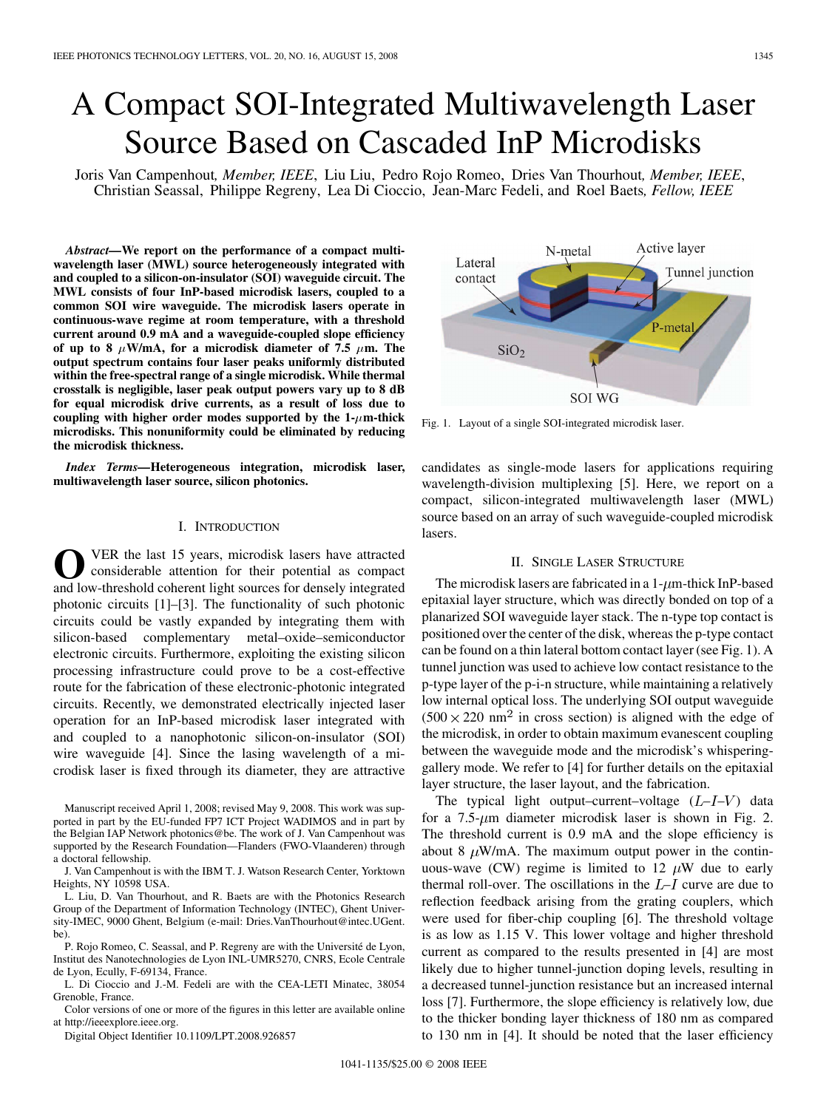# A Compact SOI-Integrated Multiwavelength Laser Source Based on Cascaded InP Microdisks

Joris Van Campenhout*, Member, IEEE*, Liu Liu, Pedro Rojo Romeo, Dries Van Thourhout*, Member, IEEE*, Christian Seassal, Philippe Regreny, Lea Di Cioccio, Jean-Marc Fedeli, and Roel Baets*, Fellow, IEEE*

*Abstract—***We report on the performance of a compact multiwavelength laser (MWL) source heterogeneously integrated with and coupled to a silicon-on-insulator (SOI) waveguide circuit. The MWL consists of four InP-based microdisk lasers, coupled to a common SOI wire waveguide. The microdisk lasers operate in continuous-wave regime at room temperature, with a threshold current around 0.9 mA and a waveguide-coupled slope efficiency** of up to 8  $\mu$ W/mA, for a microdisk diameter of 7.5  $\mu$ m. The **output spectrum contains four laser peaks uniformly distributed within the free-spectral range of a single microdisk. While thermal crosstalk is negligible, laser peak output powers vary up to 8 dB for equal microdisk drive currents, as a result of loss due to** coupling with higher order modes supported by the  $1-\mu$ m-thick **microdisks. This nonuniformity could be eliminated by reducing the microdisk thickness.**

*Index Terms—***Heterogeneous integration, microdisk laser, multiwavelength laser source, silicon photonics.**

#### I. INTRODUCTION

**O**VER the last 15 years, microdisk lasers have attracted considerable attention for their potential as compact and low-threshold coherent light sources for densely integrated photonic circuits [1]–[3]. The functionality of such photonic circuits could be vastly expanded by integrating them with silicon-based complementary metal–oxide–semiconductor electronic circuits. Furthermore, exploiting the existing silicon processing infrastructure could prove to be a cost-effective route for the fabrication of these electronic-photonic integrated circuits. Recently, we demonstrated electrically injected laser operation for an InP-based microdisk laser integrated with and coupled to a nanophotonic silicon-on-insulator (SOI) wire waveguide [4]. Since the lasing wavelength of a microdisk laser is fixed through its diameter, they are attractive

P. Rojo Romeo, C. Seassal, and P. Regreny are with the Université de Lyon, Institut des Nanotechnologies de Lyon INL-UMR5270, CNRS, Ecole Centrale de Lyon, Ecully, F-69134, France.

L. Di Cioccio and J.-M. Fedeli are with the CEA-LETI Minatec, 38054 Grenoble, France.

Color versions of one or more of the figures in this letter are available online at http://ieeexplore.ieee.org.

Digital Object Identifier 10.1109/LPT.2008.926857



Fig. 1. Layout of a single SOI-integrated microdisk laser.

candidates as single-mode lasers for applications requiring wavelength-division multiplexing [5]. Here, we report on a compact, silicon-integrated multiwavelength laser (MWL) source based on an array of such waveguide-coupled microdisk lasers.

#### II. SINGLE LASER STRUCTURE

The microdisk lasers are fabricated in a  $1-\mu$ m-thick InP-based epitaxial layer structure, which was directly bonded on top of a planarized SOI waveguide layer stack. The n-type top contact is positioned over the center of the disk, whereas the p-type contact can be found on a thin lateral bottom contact layer (see Fig. 1). A tunnel junction was used to achieve low contact resistance to the p-type layer of the p-i-n structure, while maintaining a relatively low internal optical loss. The underlying SOI output waveguide  $(500 \times 220 \text{ nm}^2)$  in cross section) is aligned with the edge of the microdisk, in order to obtain maximum evanescent coupling between the waveguide mode and the microdisk's whisperinggallery mode. We refer to [4] for further details on the epitaxial layer structure, the laser layout, and the fabrication.

The typical light output–current–voltage  $(L-I-V)$  data for a  $7.5$ - $\mu$ m diameter microdisk laser is shown in Fig. 2. The threshold current is 0.9 mA and the slope efficiency is about 8  $\mu$ W/mA. The maximum output power in the continuous-wave (CW) regime is limited to 12  $\mu$ W due to early thermal roll-over. The oscillations in the  $L-I$  curve are due to reflection feedback arising from the grating couplers, which were used for fiber-chip coupling [6]. The threshold voltage is as low as 1.15 V. This lower voltage and higher threshold current as compared to the results presented in [4] are most likely due to higher tunnel-junction doping levels, resulting in a decreased tunnel-junction resistance but an increased internal loss [7]. Furthermore, the slope efficiency is relatively low, due to the thicker bonding layer thickness of 180 nm as compared to 130 nm in [4]. It should be noted that the laser efficiency

Manuscript received April 1, 2008; revised May 9, 2008. This work was supported in part by the EU-funded FP7 ICT Project WADIMOS and in part by the Belgian IAP Network photonics@be. The work of J. Van Campenhout was supported by the Research Foundation—Flanders (FWO-Vlaanderen) through a doctoral fellowship.

J. Van Campenhout is with the IBM T. J. Watson Research Center, Yorktown Heights, NY 10598 USA.

L. Liu, D. Van Thourhout, and R. Baets are with the Photonics Research Group of the Department of Information Technology (INTEC), Ghent University-IMEC, 9000 Ghent, Belgium (e-mail: Dries.VanThourhout@intec.UGent. be).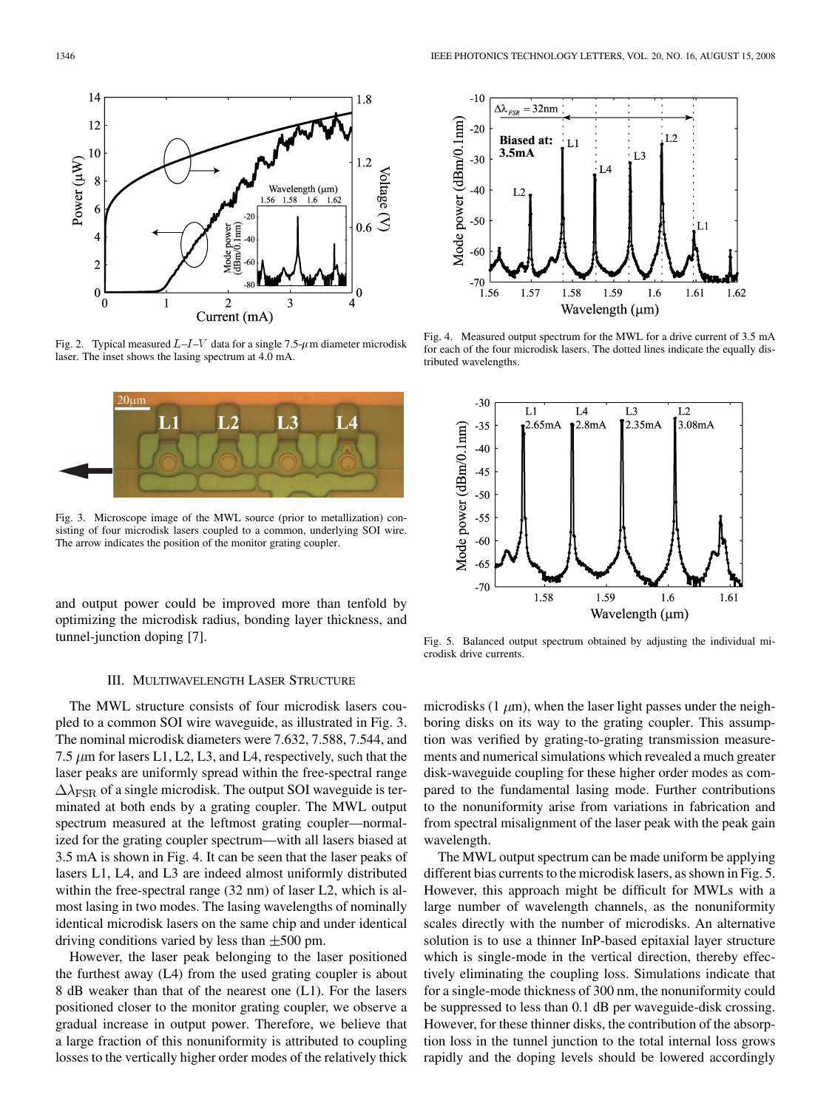

Fig. 2. Typical measured  $L-I-V$  data for a single 7.5- $\mu$ m diameter microdisk laser. The inset shows the lasing spectrum at 4.0 mA.



Fig. 3. Microscope image of the MWL source (prior to metallization) consisting of four microdisk lasers coupled to a common, underlying SOI wire. The arrow indicates the position of the monitor grating coupler.

and output power could be improved more than tenfold by optimizing the microdisk radius, bonding layer thickness, and tunnel-junction doping [7].



Fig. 4. Measured output spectrum for the MWL for a drive current of 3.5 mA for each of the four microdisk lasers. The dotted lines indicate the equally distributed wavelengths.



Fig. 5. Balanced output spectrum obtained by adjusting the individual microdisk drive currents.

## III. MULTIWAVELENGTH LASER STRUCTURE

The MWL structure consists of four microdisk lasers coupled to a common SOI wire waveguide, as illustrated in Fig. 3. The nominal microdisk diameters were 7.632, 7.588, 7.544, and 7.5  $\mu$ m for lasers L1, L2, L3, and L4, respectively, such that the laser peaks are uniformly spread within the free-spectral range  $\Delta \lambda_{\rm FSR}$  of a single microdisk. The output SOI waveguide is terminated at both ends by a grating coupler. The MWL output spectrum measured at the leftmost grating coupler—normalized for the grating coupler spectrum—with all lasers biased at 3.5 mA is shown in Fig. 4. It can be seen that the laser peaks of lasers L1, L4, and L3 are indeed almost uniformly distributed within the free-spectral range (32 nm) of laser L2, which is almost lasing in two modes. The lasing wavelengths of nominally identical microdisk lasers on the same chip and under identical driving conditions varied by less than  $\pm 500$  pm.

However, the laser peak belonging to the laser positioned the furthest away (L4) from the used grating coupler is about 8 dB weaker than that of the nearest one (L1). For the lasers positioned closer to the monitor grating coupler, we observe a gradual increase in output power. Therefore, we believe that a large fraction of this nonuniformity is attributed to coupling losses to the vertically higher order modes of the relatively thick microdisks (1  $\mu$ m), when the laser light passes under the neighboring disks on its way to the grating coupler. This assumption was verified by grating-to-grating transmission measurements and numerical simulations which revealed a much greater disk-waveguide coupling for these higher order modes as compared to the fundamental lasing mode. Further contributions to the nonuniformity arise from variations in fabrication and from spectral misalignment of the laser peak with the peak gain wavelength.

The MWL output spectrum can be made uniform be applying different bias currents to the microdisk lasers, as shown in Fig. 5. However, this approach might be difficult for MWLs with a large number of wavelength channels, as the nonuniformity scales directly with the number of microdisks. An alternative solution is to use a thinner InP-based epitaxial layer structure which is single-mode in the vertical direction, thereby effectively eliminating the coupling loss. Simulations indicate that for a single-mode thickness of 300 nm, the nonuniformity could be suppressed to less than 0.1 dB per waveguide-disk crossing. However, for these thinner disks, the contribution of the absorption loss in the tunnel junction to the total internal loss grows rapidly and the doping levels should be lowered accordingly